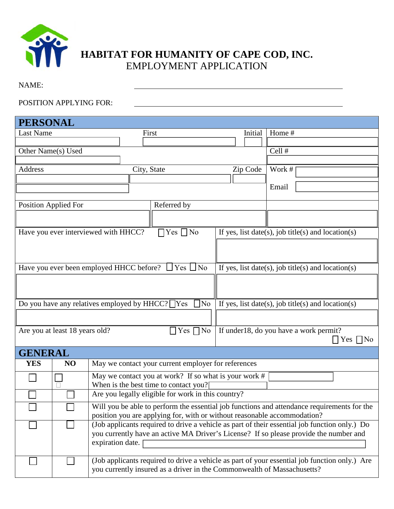

# **HABITAT FOR HUMANITY OF CAPE COD, INC.** EMPLOYMENT APPLICATION

NAME:

### POSITION APPLYING FOR:

| <b>PERSONAL</b>                                                                                   |    |                                                                                                                                                                                        |             |                                                                         |  |          |                                                                                               |
|---------------------------------------------------------------------------------------------------|----|----------------------------------------------------------------------------------------------------------------------------------------------------------------------------------------|-------------|-------------------------------------------------------------------------|--|----------|-----------------------------------------------------------------------------------------------|
| Last Name                                                                                         |    |                                                                                                                                                                                        |             | First                                                                   |  | Initial  | Home #                                                                                        |
|                                                                                                   |    |                                                                                                                                                                                        |             |                                                                         |  |          |                                                                                               |
| Other Name(s) Used                                                                                |    |                                                                                                                                                                                        |             |                                                                         |  |          | Cell #                                                                                        |
| Address                                                                                           |    |                                                                                                                                                                                        |             |                                                                         |  |          | Work #                                                                                        |
|                                                                                                   |    |                                                                                                                                                                                        | City, State |                                                                         |  | Zip Code |                                                                                               |
|                                                                                                   |    |                                                                                                                                                                                        |             |                                                                         |  |          | Email                                                                                         |
|                                                                                                   |    |                                                                                                                                                                                        |             |                                                                         |  |          |                                                                                               |
| <b>Position Applied For</b>                                                                       |    |                                                                                                                                                                                        |             | Referred by                                                             |  |          |                                                                                               |
|                                                                                                   |    |                                                                                                                                                                                        |             |                                                                         |  |          |                                                                                               |
|                                                                                                   |    | Have you ever interviewed with HHCC?                                                                                                                                                   |             | $\Box$ Yes $\Box$ No                                                    |  |          | If yes, list date(s), job title(s) and location(s)                                            |
|                                                                                                   |    |                                                                                                                                                                                        |             |                                                                         |  |          |                                                                                               |
|                                                                                                   |    |                                                                                                                                                                                        |             |                                                                         |  |          |                                                                                               |
|                                                                                                   |    |                                                                                                                                                                                        |             | Have you ever been employed HHCC before? $\Box$ Yes $\Box$ No           |  |          | If yes, list date(s), job title(s) and location(s)                                            |
|                                                                                                   |    |                                                                                                                                                                                        |             |                                                                         |  |          |                                                                                               |
|                                                                                                   |    |                                                                                                                                                                                        |             |                                                                         |  |          |                                                                                               |
|                                                                                                   |    |                                                                                                                                                                                        |             | Do you have any relatives employed by $HHCC?$ $\Box$ Yes<br>$\Box$ No   |  |          | If yes, list date(s), job title(s) and location(s)                                            |
|                                                                                                   |    |                                                                                                                                                                                        |             |                                                                         |  |          |                                                                                               |
| If under 18, do you have a work permit?<br>Are you at least 18 years old?<br>$\Box$ Yes $\Box$ No |    |                                                                                                                                                                                        |             | $\Box$ Yes $\Box$ No                                                    |  |          |                                                                                               |
| <b>GENERAL</b>                                                                                    |    |                                                                                                                                                                                        |             |                                                                         |  |          |                                                                                               |
| <b>YES</b>                                                                                        | NO |                                                                                                                                                                                        |             | May we contact your current employer for references                     |  |          |                                                                                               |
|                                                                                                   |    | May we contact you at work? If so what is your work #                                                                                                                                  |             |                                                                         |  |          |                                                                                               |
|                                                                                                   |    | When is the best time to contact you?[                                                                                                                                                 |             |                                                                         |  |          |                                                                                               |
|                                                                                                   |    | Are you legally eligible for work in this country?                                                                                                                                     |             |                                                                         |  |          |                                                                                               |
|                                                                                                   |    | Will you be able to perform the essential job functions and attendance requirements for the                                                                                            |             |                                                                         |  |          |                                                                                               |
|                                                                                                   |    | position you are applying for, with or without reasonable accommodation?                                                                                                               |             |                                                                         |  |          |                                                                                               |
|                                                                                                   |    | (Job applicants required to drive a vehicle as part of their essential job function only.) Do<br>you currently have an active MA Driver's License? If so please provide the number and |             |                                                                         |  |          |                                                                                               |
|                                                                                                   |    | expiration date.                                                                                                                                                                       |             |                                                                         |  |          |                                                                                               |
|                                                                                                   |    |                                                                                                                                                                                        |             |                                                                         |  |          |                                                                                               |
|                                                                                                   |    |                                                                                                                                                                                        |             |                                                                         |  |          | (Job applicants required to drive a vehicle as part of your essential job function only.) Are |
|                                                                                                   |    |                                                                                                                                                                                        |             | you currently insured as a driver in the Commonwealth of Massachusetts? |  |          |                                                                                               |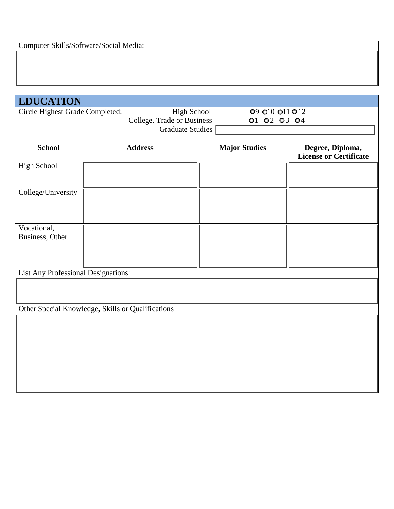| <b>EDUCATION</b>                                                                                                                         |                                                   |                      |                                                   |
|------------------------------------------------------------------------------------------------------------------------------------------|---------------------------------------------------|----------------------|---------------------------------------------------|
| Circle Highest Grade Completed:<br>High School<br>09 010 011 012<br>College. Trade or Business<br>01 02 03 04<br><b>Graduate Studies</b> |                                                   |                      |                                                   |
| <b>School</b>                                                                                                                            | <b>Address</b>                                    | <b>Major Studies</b> | Degree, Diploma,<br><b>License or Certificate</b> |
| High School                                                                                                                              |                                                   |                      |                                                   |
| College/University                                                                                                                       |                                                   |                      |                                                   |
| Vocational,<br>Business, Other                                                                                                           |                                                   |                      |                                                   |
| <b>List Any Professional Designations:</b>                                                                                               |                                                   |                      |                                                   |
|                                                                                                                                          |                                                   |                      |                                                   |
|                                                                                                                                          | Other Special Knowledge, Skills or Qualifications |                      |                                                   |
|                                                                                                                                          |                                                   |                      |                                                   |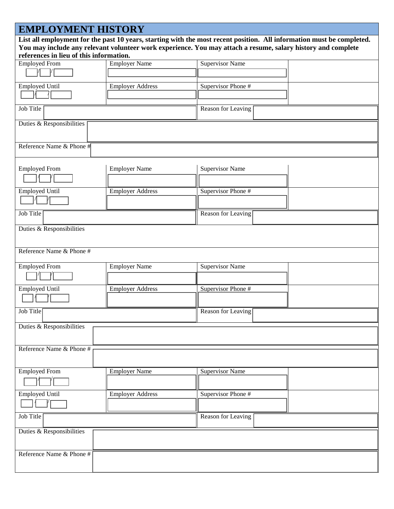## **EMPLOYMENT HISTORY List all employment for the past 10 years, starting with the most recent position. All information must be completed. You may include any relevant volunteer work experience. You may attach a resume, salary history and complete references in lieu of this information.** Employed From Employer Name Supervisor Name  $\Box$  /  $\Box$ Employed Until Employer Address Supervisor Phone # I  $\Box$ /  $\Box$ Job Title **Reason for Leaving** Reason for Leaving Duties & Responsibilities Reference Name & Phone #

| <b>Employed From</b>      | <b>Employer Name</b>    | <b>Supervisor Name</b> |  |
|---------------------------|-------------------------|------------------------|--|
| <b>Employed Until</b>     | <b>Employer Address</b> | Supervisor Phone #     |  |
| Job Title                 |                         | Reason for Leaving     |  |
| Duties & Responsibilities |                         |                        |  |

| <b>Employed From</b>      | <b>Employer Name</b>    | <b>Supervisor Name</b> |  |
|---------------------------|-------------------------|------------------------|--|
| <b>Employed Until</b>     | <b>Employer Address</b> | Supervisor Phone #     |  |
| Job Title                 |                         | Reason for Leaving     |  |
| Duties & Responsibilities |                         |                        |  |
| Reference Name & Phone #  |                         |                        |  |

| <b>Employed From</b>      | <b>Employer Name</b>    | <b>Supervisor Name</b> |
|---------------------------|-------------------------|------------------------|
|                           |                         |                        |
| <b>Employed Until</b>     | <b>Employer Address</b> | Supervisor Phone #     |
|                           |                         |                        |
| Job Title                 |                         | Reason for Leaving     |
| Duties & Responsibilities |                         |                        |
|                           |                         |                        |
| Reference Name & Phone #  |                         |                        |
|                           |                         |                        |